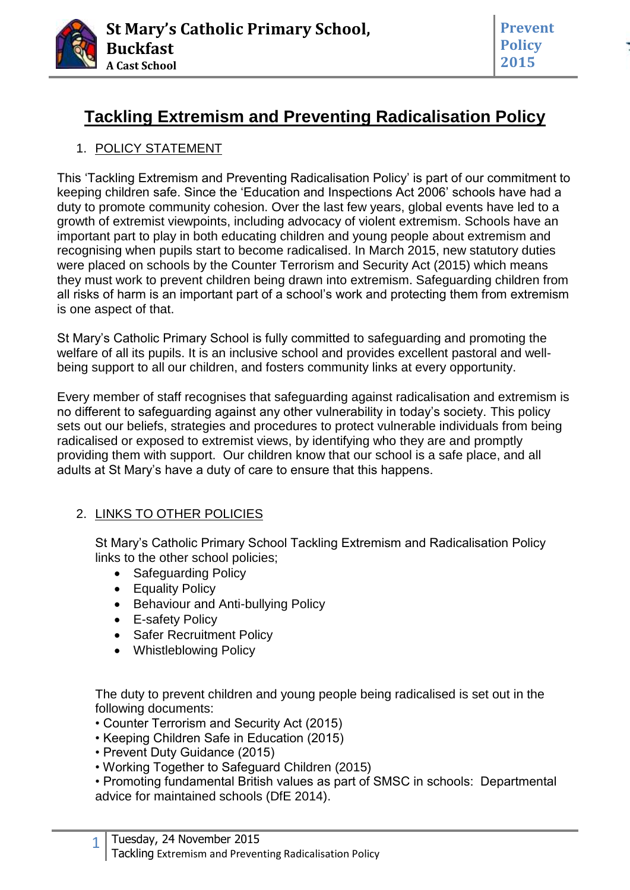

**Prevent Policy 2015**

# **Tackling Extremism and Preventing Radicalisation Policy**

### 1. POLICY STATEMENT

This 'Tackling Extremism and Preventing Radicalisation Policy' is part of our commitment to keeping children safe. Since the 'Education and Inspections Act 2006' schools have had a duty to promote community cohesion. Over the last few years, global events have led to a growth of extremist viewpoints, including advocacy of violent extremism. Schools have an important part to play in both educating children and young people about extremism and recognising when pupils start to become radicalised. In March 2015, new statutory duties were placed on schools by the Counter Terrorism and Security Act (2015) which means they must work to prevent children being drawn into extremism. Safeguarding children from all risks of harm is an important part of a school's work and protecting them from extremism is one aspect of that.

St Mary's Catholic Primary School is fully committed to safeguarding and promoting the welfare of all its pupils. It is an inclusive school and provides excellent pastoral and wellbeing support to all our children, and fosters community links at every opportunity.

Every member of staff recognises that safeguarding against radicalisation and extremism is no different to safeguarding against any other vulnerability in today's society. This policy sets out our beliefs, strategies and procedures to protect vulnerable individuals from being radicalised or exposed to extremist views, by identifying who they are and promptly providing them with support. Our children know that our school is a safe place, and all adults at St Mary's have a duty of care to ensure that this happens.

### 2. LINKS TO OTHER POLICIES

St Mary's Catholic Primary School Tackling Extremism and Radicalisation Policy links to the other school policies;

- Safeguarding Policy
- Equality Policy
- Behaviour and Anti-bullying Policy
- E-safety Policy
- Safer Recruitment Policy
- Whistleblowing Policy

The duty to prevent children and young people being radicalised is set out in the following documents:

- Counter Terrorism and Security Act (2015)
- Keeping Children Safe in Education (2015)
- Prevent Duty Guidance (2015)
- Working Together to Safeguard Children (2015)

• Promoting fundamental British values as part of SMSC in schools: Departmental advice for maintained schools (DfE 2014).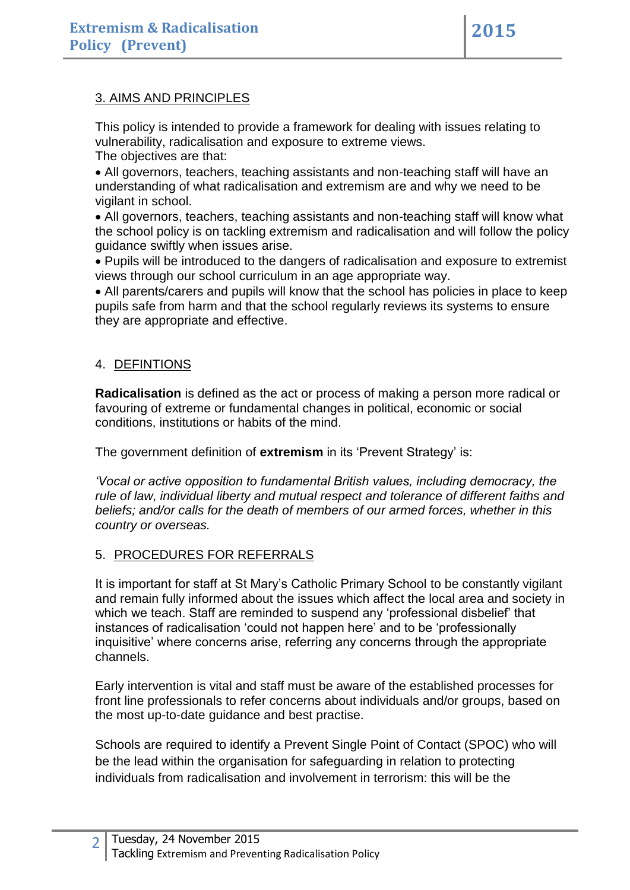### 3. AIMS AND PRINCIPLES

This policy is intended to provide a framework for dealing with issues relating to vulnerability, radicalisation and exposure to extreme views.

The objectives are that:

 All governors, teachers, teaching assistants and non-teaching staff will have an understanding of what radicalisation and extremism are and why we need to be vigilant in school.

 All governors, teachers, teaching assistants and non-teaching staff will know what the school policy is on tackling extremism and radicalisation and will follow the policy guidance swiftly when issues arise.

 Pupils will be introduced to the dangers of radicalisation and exposure to extremist views through our school curriculum in an age appropriate way.

 All parents/carers and pupils will know that the school has policies in place to keep pupils safe from harm and that the school regularly reviews its systems to ensure they are appropriate and effective.

### 4. DEFINTIONS

**Radicalisation** is defined as the act or process of making a person more radical or favouring of extreme or fundamental changes in political, economic or social conditions, institutions or habits of the mind.

The government definition of **extremism** in its 'Prevent Strategy' is:

*'Vocal or active opposition to fundamental British values, including democracy, the rule of law, individual liberty and mutual respect and tolerance of different faiths and beliefs; and/or calls for the death of members of our armed forces, whether in this country or overseas.*

### 5. PROCEDURES FOR REFERRALS

It is important for staff at St Mary's Catholic Primary School to be constantly vigilant and remain fully informed about the issues which affect the local area and society in which we teach. Staff are reminded to suspend any 'professional disbelief' that instances of radicalisation 'could not happen here' and to be 'professionally inquisitive' where concerns arise, referring any concerns through the appropriate channels.

Early intervention is vital and staff must be aware of the established processes for front line professionals to refer concerns about individuals and/or groups, based on the most up-to-date guidance and best practise.

Schools are required to identify a Prevent Single Point of Contact (SPOC) who will be the lead within the organisation for safeguarding in relation to protecting individuals from radicalisation and involvement in terrorism: this will be the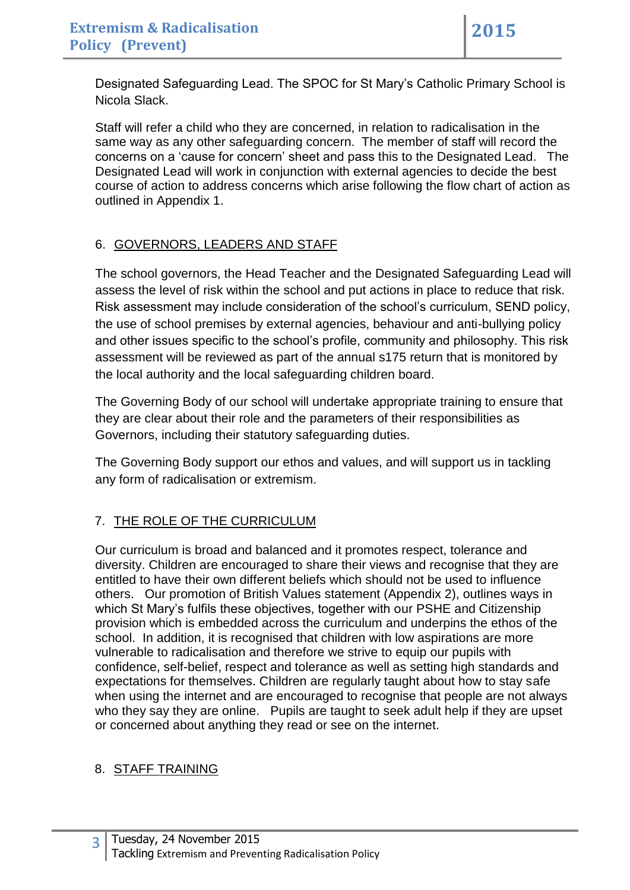Designated Safeguarding Lead. The SPOC for St Mary's Catholic Primary School is Nicola Slack.

Staff will refer a child who they are concerned, in relation to radicalisation in the same way as any other safeguarding concern. The member of staff will record the concerns on a 'cause for concern' sheet and pass this to the Designated Lead. The Designated Lead will work in conjunction with external agencies to decide the best course of action to address concerns which arise following the flow chart of action as outlined in Appendix 1.

# 6. GOVERNORS, LEADERS AND STAFF

The school governors, the Head Teacher and the Designated Safeguarding Lead will assess the level of risk within the school and put actions in place to reduce that risk. Risk assessment may include consideration of the school's curriculum, SEND policy, the use of school premises by external agencies, behaviour and anti-bullying policy and other issues specific to the school's profile, community and philosophy. This risk assessment will be reviewed as part of the annual s175 return that is monitored by the local authority and the local safeguarding children board.

The Governing Body of our school will undertake appropriate training to ensure that they are clear about their role and the parameters of their responsibilities as Governors, including their statutory safeguarding duties.

The Governing Body support our ethos and values, and will support us in tackling any form of radicalisation or extremism.

## 7. THE ROLE OF THE CURRICULUM

Our curriculum is broad and balanced and it promotes respect, tolerance and diversity. Children are encouraged to share their views and recognise that they are entitled to have their own different beliefs which should not be used to influence others. Our promotion of British Values statement (Appendix 2), outlines ways in which St Mary's fulfils these objectives, together with our PSHE and Citizenship provision which is embedded across the curriculum and underpins the ethos of the school. In addition, it is recognised that children with low aspirations are more vulnerable to radicalisation and therefore we strive to equip our pupils with confidence, self-belief, respect and tolerance as well as setting high standards and expectations for themselves. Children are regularly taught about how to stay safe when using the internet and are encouraged to recognise that people are not always who they say they are online. Pupils are taught to seek adult help if they are upset or concerned about anything they read or see on the internet.

### 8. STAFF TRAINING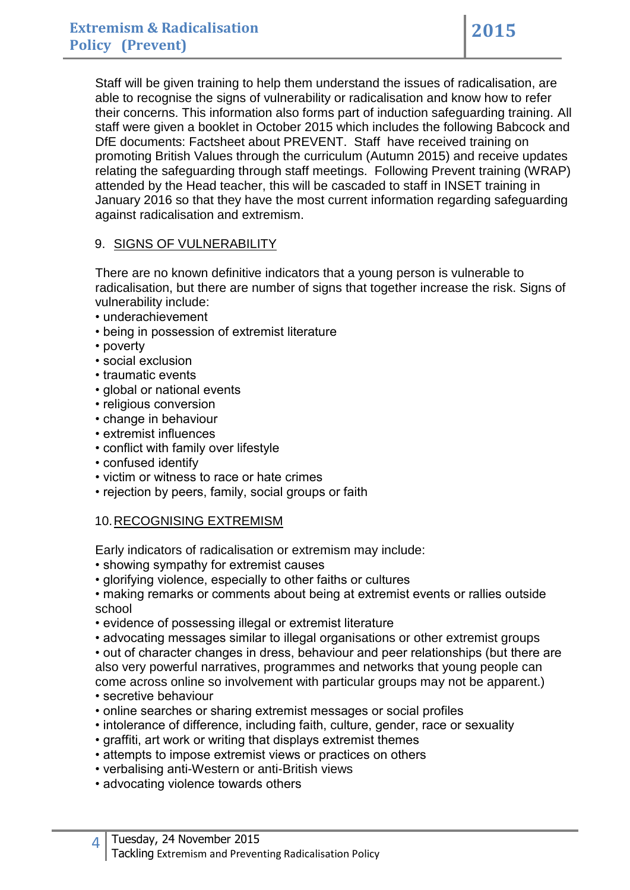Staff will be given training to help them understand the issues of radicalisation, are able to recognise the signs of vulnerability or radicalisation and know how to refer their concerns. This information also forms part of induction safeguarding training. All staff were given a booklet in October 2015 which includes the following Babcock and DfE documents: Factsheet about PREVENT. Staff have received training on promoting British Values through the curriculum (Autumn 2015) and receive updates relating the safeguarding through staff meetings. Following Prevent training (WRAP) attended by the Head teacher, this will be cascaded to staff in INSET training in January 2016 so that they have the most current information regarding safeguarding against radicalisation and extremism.

### 9. SIGNS OF VULNERABILITY

There are no known definitive indicators that a young person is vulnerable to radicalisation, but there are number of signs that together increase the risk. Signs of vulnerability include:

- underachievement
- being in possession of extremist literature
- poverty
- social exclusion
- traumatic events
- global or national events
- religious conversion
- change in behaviour
- extremist influences
- conflict with family over lifestyle
- confused identify
- victim or witness to race or hate crimes
- rejection by peers, family, social groups or faith

### 10.RECOGNISING EXTREMISM

Early indicators of radicalisation or extremism may include:

- showing sympathy for extremist causes
- glorifying violence, especially to other faiths or cultures

• making remarks or comments about being at extremist events or rallies outside school

- evidence of possessing illegal or extremist literature
- advocating messages similar to illegal organisations or other extremist groups

• out of character changes in dress, behaviour and peer relationships (but there are also very powerful narratives, programmes and networks that young people can come across online so involvement with particular groups may not be apparent.)

- secretive behaviour
- online searches or sharing extremist messages or social profiles
- intolerance of difference, including faith, culture, gender, race or sexuality
- graffiti, art work or writing that displays extremist themes
- attempts to impose extremist views or practices on others
- verbalising anti-Western or anti-British views
- advocating violence towards others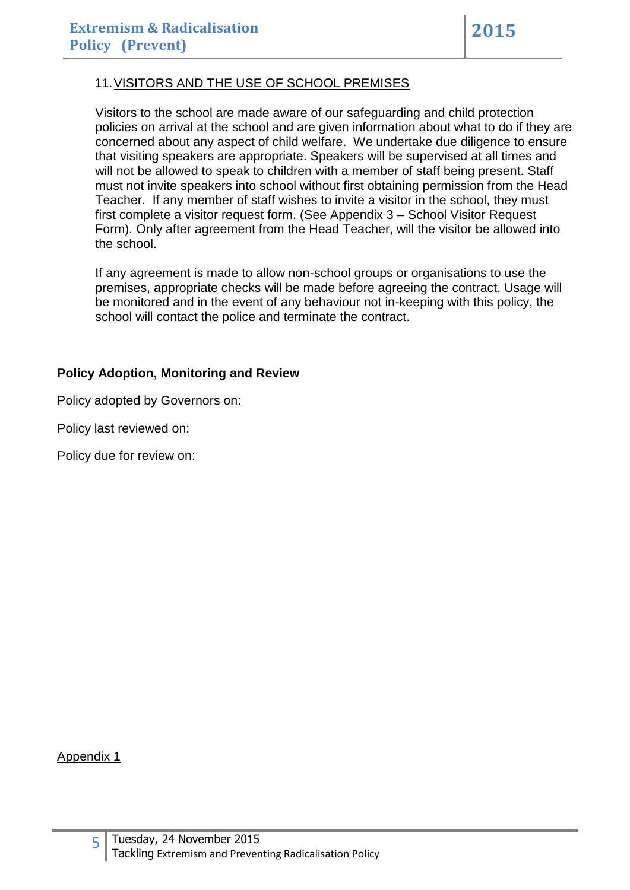### 11.VISITORS AND THE USE OF SCHOOL PREMISES

Visitors to the school are made aware of our safeguarding and child protection policies on arrival at the school and are given information about what to do if they are concerned about any aspect of child welfare. We undertake due diligence to ensure that visiting speakers are appropriate. Speakers will be supervised at all times and will not be allowed to speak to children with a member of staff being present. Staff must not invite speakers into school without first obtaining permission from the Head Teacher. If any member of staff wishes to invite a visitor in the school, they must first complete a visitor request form. (See Appendix 3 – School Visitor Request Form). Only after agreement from the Head Teacher, will the visitor be allowed into the school.

If any agreement is made to allow non-school groups or organisations to use the premises, appropriate checks will be made before agreeing the contract. Usage will be monitored and in the event of any behaviour not in-keeping with this policy, the school will contact the police and terminate the contract.

#### **Policy Adoption, Monitoring and Review**

Policy adopted by Governors on:

Policy last reviewed on:

Policy due for review on:

Appendix 1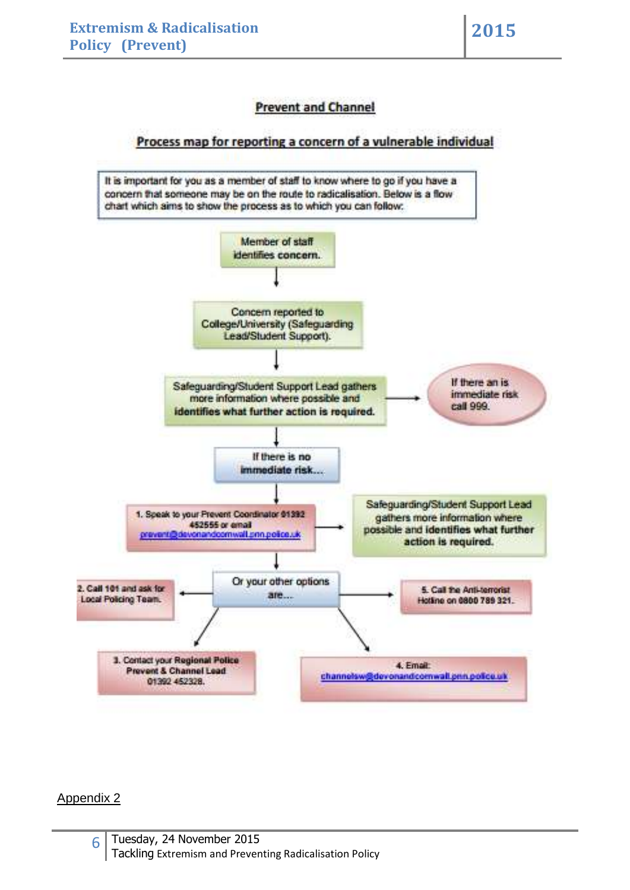### **Prevent and Channel**

#### Process map for reporting a concern of a vulnerable individual

It is important for you as a member of staff to know where to go if you have a concern that someone may be on the route to radicalisation. Below is a flow chart which aims to show the process as to which you can follow: Member of staff identifies concern. Concern reported to College/University (Safeguarding Lead/Student Support). If there an is Safeguarding/Student Support Lead gathers immediate risk more information where possible and call 999. identifies what further action is required. If there is no immediate risk... Safeguarding/Student Support Lead 1. Speak to your Prevent Coordinator \$1392 gathers more information where 452555 or email possible and identifies what further orevent@de onandoomwall.pnn.poice.uk action is required. Or your other options 2. Call 101 and ask for 5. Call the Anti-terrorist are... Local Policing Team. Hotling on 6800 789 321. 3. Contact your Regional Police 4. Email: **Prevent & Channel Lead** channelsw@devonandcomwall.pnn.police.uk 01392 452328.

#### Appendix 2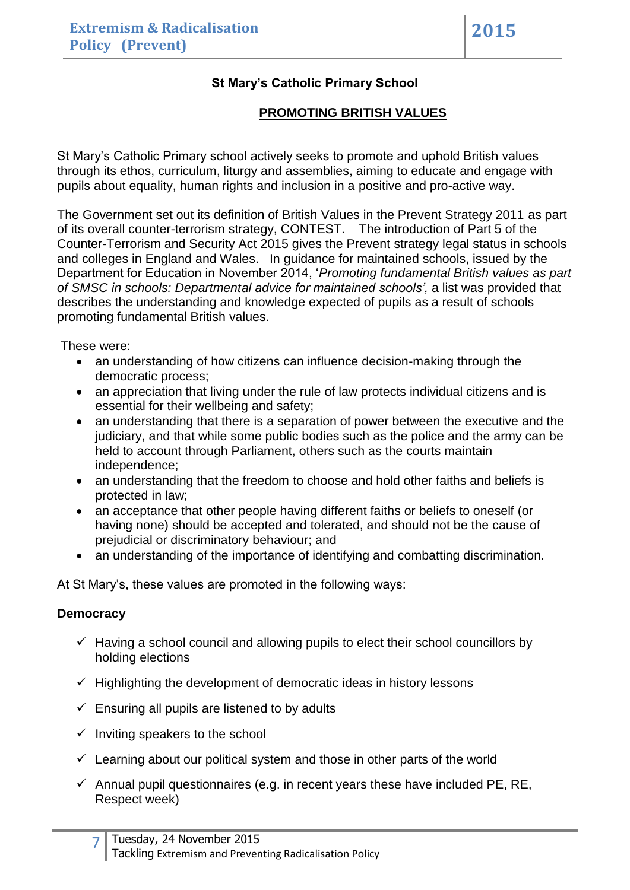### **St Mary's Catholic Primary School**

### **PROMOTING BRITISH VALUES**

St Mary's Catholic Primary school actively seeks to promote and uphold British values through its ethos, curriculum, liturgy and assemblies, aiming to educate and engage with pupils about equality, human rights and inclusion in a positive and pro-active way.

The Government set out its definition of British Values in the Prevent Strategy 2011 as part of its overall counter-terrorism strategy, CONTEST. The introduction of Part 5 of the Counter-Terrorism and Security Act 2015 gives the Prevent strategy legal status in schools and colleges in England and Wales. In guidance for maintained schools, issued by the Department for Education in November 2014, '*Promoting fundamental British values as part of SMSC in schools: Departmental advice for maintained schools',* a list was provided that describes the understanding and knowledge expected of pupils as a result of schools promoting fundamental British values.

These were:

- an understanding of how citizens can influence decision-making through the democratic process;
- an appreciation that living under the rule of law protects individual citizens and is essential for their wellbeing and safety;
- an understanding that there is a separation of power between the executive and the judiciary, and that while some public bodies such as the police and the army can be held to account through Parliament, others such as the courts maintain independence;
- an understanding that the freedom to choose and hold other faiths and beliefs is protected in law;
- an acceptance that other people having different faiths or beliefs to oneself (or having none) should be accepted and tolerated, and should not be the cause of prejudicial or discriminatory behaviour; and
- an understanding of the importance of identifying and combatting discrimination.

At St Mary's, these values are promoted in the following ways:

### **Democracy**

- $\checkmark$  Having a school council and allowing pupils to elect their school councillors by holding elections
- $\checkmark$  Highlighting the development of democratic ideas in history lessons
- $\checkmark$  Ensuring all pupils are listened to by adults
- $\checkmark$  Inviting speakers to the school
- $\checkmark$  Learning about our political system and those in other parts of the world
- $\checkmark$  Annual pupil questionnaires (e.g. in recent years these have included PE, RE, Respect week)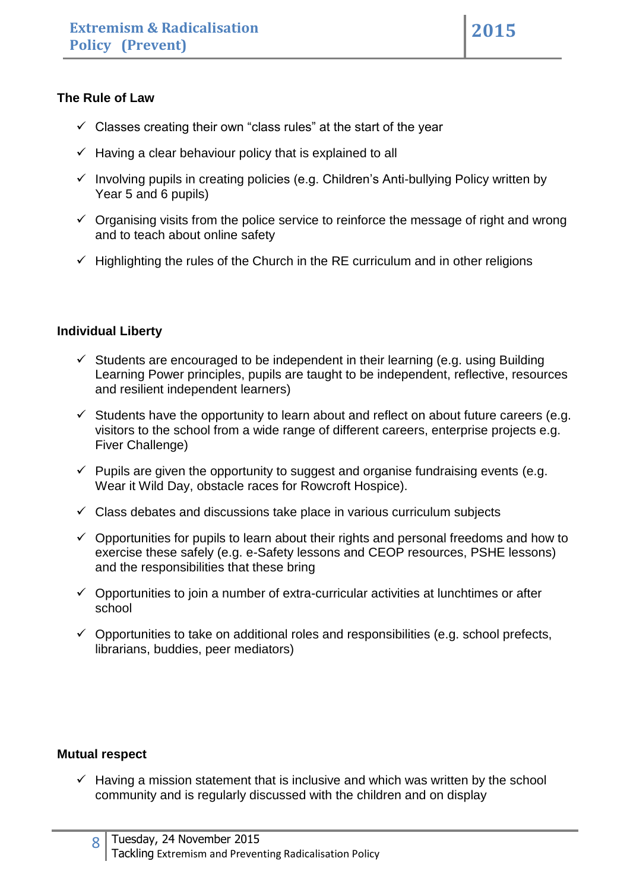### **The Rule of Law**

- $\checkmark$  Classes creating their own "class rules" at the start of the year
- $\checkmark$  Having a clear behaviour policy that is explained to all
- $\checkmark$  Involving pupils in creating policies (e.g. Children's Anti-bullying Policy written by Year 5 and 6 pupils)
- $\checkmark$  Organising visits from the police service to reinforce the message of right and wrong and to teach about online safety
- $\checkmark$  Highlighting the rules of the Church in the RE curriculum and in other religions

### **Individual Liberty**

- $\checkmark$  Students are encouraged to be independent in their learning (e.g. using Building Learning Power principles, pupils are taught to be independent, reflective, resources and resilient independent learners)
- $\checkmark$  Students have the opportunity to learn about and reflect on about future careers (e.g. visitors to the school from a wide range of different careers, enterprise projects e.g. Fiver Challenge)
- $\checkmark$  Pupils are given the opportunity to suggest and organise fundraising events (e.g. Wear it Wild Day, obstacle races for Rowcroft Hospice).
- $\checkmark$  Class debates and discussions take place in various curriculum subjects
- $\checkmark$  Opportunities for pupils to learn about their rights and personal freedoms and how to exercise these safely (e.g. e-Safety lessons and CEOP resources, PSHE lessons) and the responsibilities that these bring
- $\checkmark$  Opportunities to join a number of extra-curricular activities at lunchtimes or after school
- $\checkmark$  Opportunities to take on additional roles and responsibilities (e.g. school prefects, librarians, buddies, peer mediators)

### **Mutual respect**

 $\checkmark$  Having a mission statement that is inclusive and which was written by the school community and is regularly discussed with the children and on display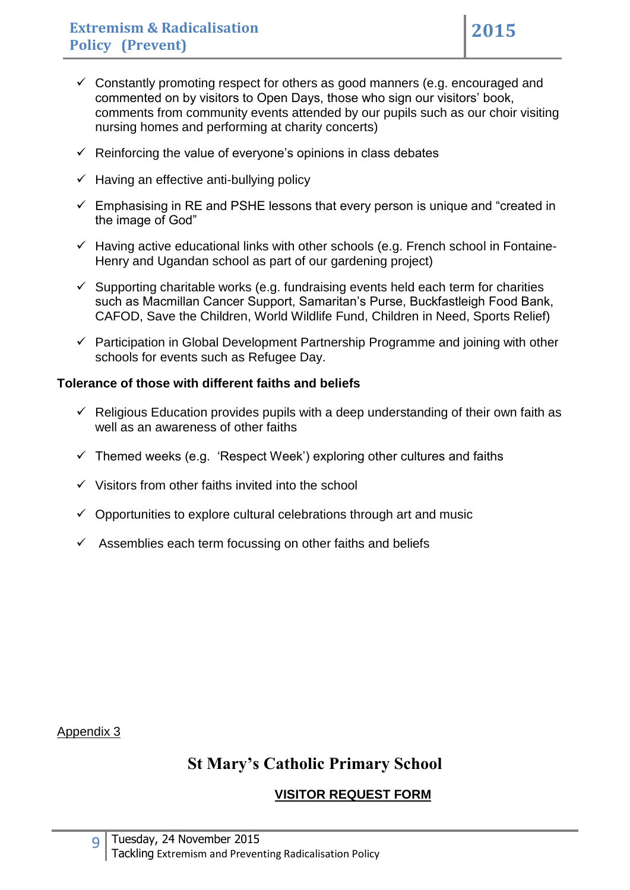- $\checkmark$  Constantly promoting respect for others as good manners (e.g. encouraged and commented on by visitors to Open Days, those who sign our visitors' book, comments from community events attended by our pupils such as our choir visiting nursing homes and performing at charity concerts)
- $\checkmark$  Reinforcing the value of everyone's opinions in class debates
- $\checkmark$  Having an effective anti-bullying policy
- $\checkmark$  Emphasising in RE and PSHE lessons that every person is unique and "created in the image of God"
- $\checkmark$  Having active educational links with other schools (e.g. French school in Fontaine-Henry and Ugandan school as part of our gardening project)
- $\checkmark$  Supporting charitable works (e.g. fundraising events held each term for charities such as Macmillan Cancer Support, Samaritan's Purse, Buckfastleigh Food Bank, CAFOD, Save the Children, World Wildlife Fund, Children in Need, Sports Relief)
- $\checkmark$  Participation in Global Development Partnership Programme and joining with other schools for events such as Refugee Day.

### **Tolerance of those with different faiths and beliefs**

- $\checkmark$  Religious Education provides pupils with a deep understanding of their own faith as well as an awareness of other faiths
- $\checkmark$  Themed weeks (e.g. 'Respect Week') exploring other cultures and faiths
- $\checkmark$  Visitors from other faiths invited into the school
- $\checkmark$  Opportunities to explore cultural celebrations through art and music
- $\checkmark$  Assemblies each term focussing on other faiths and beliefs

Appendix 3

# **St Mary's Catholic Primary School**

## **VISITOR REQUEST FORM**